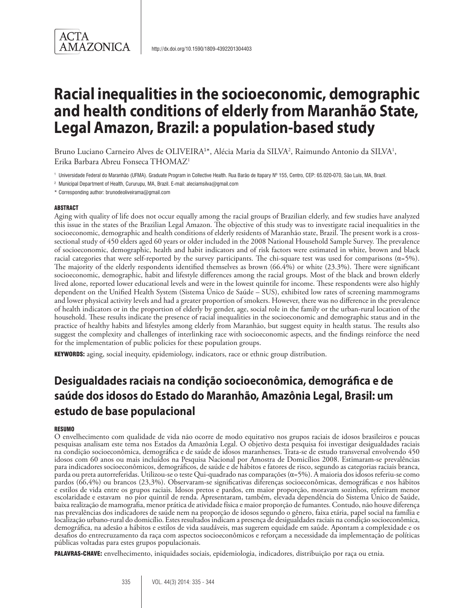Bruno Luciano Carneiro Alves de OLIVEIRA<sup>1\*</sup>, Alécia Maria da SILVA<sup>2</sup>, Raimundo Antonio da SILVA<sup>1</sup>, Erika Barbara Abreu Fonseca THOMAZ1

- <sup>1</sup> Universidade Federal do Maranhão (UFMA). Graduate Program in Collective Health. Rua Barão de Itapary Nº 155, Centro, CEP: 65.020-070, São Luís, MA, Brazil.
- <sup>2</sup> Municipal Department of Health, Cururupu, MA, Brazil. E-mail: aleciamsilva@gmail.com
- \* Corresponding author: brunodeoliveirama@gmail.com

#### ABSTRACT

Aging with quality of life does not occur equally among the racial groups of Brazilian elderly, and few studies have analyzed this issue in the states of the Brazilian Legal Amazon. The objective of this study was to investigate racial inequalities in the socioeconomic, demographic and health conditions of elderly residents of Maranhão state, Brazil. The present work is a crosssectional study of 450 elders aged 60 years or older included in the 2008 National Household Sample Survey. The prevalence of socioeconomic, demographic, health and habit indicators and of risk factors were estimated in white, brown and black racial categories that were self-reported by the survey participants. The chi-square test was used for comparisons (α=5%). The majority of the elderly respondents identified themselves as brown (66.4%) or white (23.3%). There were significant socioeconomic, demographic, habit and lifestyle differences among the racial groups. Most of the black and brown elderly lived alone, reported lower educational levels and were in the lowest quintile for income. These respondents were also highly dependent on the Unified Health System (Sistema Único de Saúde – SUS), exhibited low rates of screening mammograms and lower physical activity levels and had a greater proportion of smokers. However, there was no difference in the prevalence of health indicators or in the proportion of elderly by gender, age, social role in the family or the urban-rural location of the household. These results indicate the presence of racial inequalities in the socioeconomic and demographic status and in the practice of healthy habits and lifestyles among elderly from Maranhão, but suggest equity in health status. The results also suggest the complexity and challenges of interlinking race with socioeconomic aspects, and the findings reinforce the need for the implementation of public policies for these population groups.

KEYWORDS: aging, social inequity, epidemiology, indicators, race or ethnic group distribution.

# **Desigualdades raciais na condição socioeconômica, demográfica e de saúde dos idosos do Estado do Maranhão, Amazônia Legal, Brasil: um estudo de base populacional**

#### **RESUMO**

O envelhecimento com qualidade de vida não ocorre de modo equitativo nos grupos raciais de idosos brasileiros e poucas pesquisas analisam este tema nos Estados da Amazônia Legal. O objetivo desta pesquisa foi investigar desigualdades raciais na condição socioeconômica, demográfica e de saúde de idosos maranhenses. Trata-se de estudo transversal envolvendo 450 idosos com 60 anos ou mais incluídos na Pesquisa Nacional por Amostra de Domicílios 2008. Estimaram-se prevalências para indicadores socioeconômicos, demográficos, de saúde e de hábitos e fatores de risco, segundo as categorias raciais branca, parda ou preta autorreferidas. Utilizou-se o teste Qui-quadrado nas comparações (α=5%). A maioria dos idosos referiu-se como pardos (66,4%) ou brancos (23,3%). Observaram-se significativas diferenças socioeconômicas, demográficas e nos hábitos e estilos de vida entre os grupos raciais. Idosos pretos e pardos, em maior proporção, moravam sozinhos, referiram menor escolaridade e estavam no pior quintil de renda. Apresentaram, também, elevada dependência do Sistema Único de Saúde, baixa realização de mamografia, menor prática de atividade física e maior proporção de fumantes. Contudo, não houve diferença nas prevalências dos indicadores de saúde nem na proporção de idosos segundo o gênero, faixa etária, papel social na família e localização urbano-rural do domicílio. Estes resultados indicam a presença de desigualdades raciais na condição socioeconômica, demográfica, na adesão a hábitos e estilos de vida saudáveis, mas sugerem equidade em saúde. Apontam a complexidade e os desafios do entrecruzamento da raça com aspectos socioeconômicos e reforçam a necessidade da implementação de políticas públicas voltadas para estes grupos populacionais.

PALAVRAS-CHAVE: envelhecimento, iniquidades sociais, epidemiologia, indicadores, distribuição por raça ou etnia.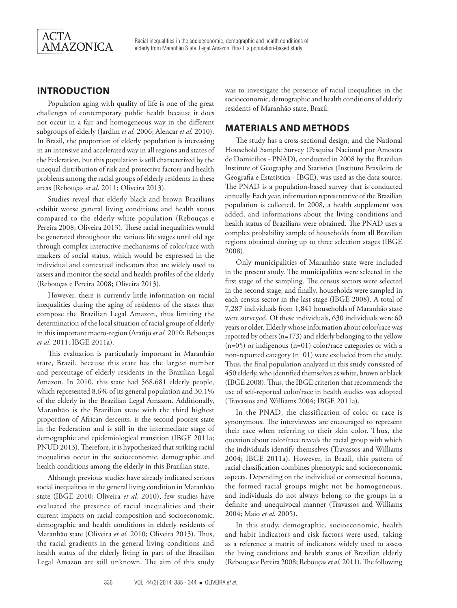

## **INTRODUCTION**

Population aging with quality of life is one of the great challenges of contemporary public health because it does not occur in a fair and homogeneous way in the different subgroups of elderly (Jardim *et al.* 2006; Alencar *et al.* 2010). In Brazil, the proportion of elderly population is increasing in an intensive and accelerated way in all regions and states of the Federation, but this population is still characterized by the unequal distribution of risk and protective factors and health problems among the racial groups of elderly residents in these areas (Rebouças *et al*. 2011; Oliveira 2013).

Studies reveal that elderly black and brown Brazilians exhibit worse general living conditions and health status compared to the elderly white population (Rebouças e Pereira 2008; Oliveira 2013). These racial inequalities would be generated throughout the various life stages until old age through complex interactive mechanisms of color/race with markers of social status, which would be expressed in the individual and contextual indicators that are widely used to assess and monitor the social and health profiles of the elderly (Rebouças e Pereira 2008; Oliveira 2013).

However, there is currently little information on racial inequalities during the aging of residents of the states that compose the Brazilian Legal Amazon, thus limiting the determination of the local situation of racial groups of elderly in this important macro-region (Araújo *et al.* 2010; Rebouças *et al*. 2011; IBGE 2011a).

This evaluation is particularly important in Maranhão state, Brazil, because this state has the largest number and percentage of elderly residents in the Brazilian Legal Amazon. In 2010, this state had 568,681 elderly people, which represented 8.6% of its general population and 30.1% of the elderly in the Brazilian Legal Amazon. Additionally, Maranhão is the Brazilian state with the third highest proportion of African descents, is the second poorest state in the Federation and is still in the intermediate stage of demographic and epidemiological transition (IBGE 2011a; PNUD 2013). Therefore, it is hypothesized that striking racial inequalities occur in the socioeconomic, demographic and health conditions among the elderly in this Brazilian state.

Although previous studies have already indicated serious social inequalities in the general living condition in Maranhão state (IBGE 2010; Oliveira *et al.* 2010), few studies have evaluated the presence of racial inequalities and their current impacts on racial composition and socioeconomic, demographic and health conditions in elderly residents of Maranhão state (Oliveira *et al.* 2010; Oliveira 2013). Thus, the racial gradients in the general living conditions and health status of the elderly living in part of the Brazilian Legal Amazon are still unknown. The aim of this study was to investigate the presence of racial inequalities in the socioeconomic, demographic and health conditions of elderly residents of Maranhão state, Brazil.

#### **MATERIALS AND METHODS**

The study has a cross-sectional design, and the National Household Sample Survey (Pesquisa Nacional por Amostra de Domicílios - PNAD), conducted in 2008 by the Brazilian Institute of Geography and Statistics (Instituto Brasileiro de Geografia e Estatística - IBGE), was used as the data source. The PNAD is a population-based survey that is conducted annually. Each year, information representative of the Brazilian population is collected. In 2008, a health supplement was added, and informations about the living conditions and health status of Brazilians were obtained. The PNAD uses a complex probability sample of households from all Brazilian regions obtained during up to three selection stages (IBGE 2008).

Only municipalities of Maranhão state were included in the present study. The municipalities were selected in the first stage of the sampling. The census sectors were selected in the second stage, and finally, households were sampled in each census sector in the last stage (IBGE 2008). A total of 7,287 individuals from 1,841 households of Maranhão state were surveyed. Of these individuals, 630 individuals were 60 years or older. Elderly whose information about color/race was reported by others (n=173) and elderly belonging to the yellow  $(n=05)$  or indigenous  $(n=01)$  color/race categories or with a non-reported category (n=01) were excluded from the study. Thus, the final population analyzed in this study consisted of 450 elderly, who identified themselves as white, brown or black (IBGE 2008). Thus, the IBGE criterion that recommends the use of self-reported color/race in health studies was adopted (Travassos and Williams 2004; IBGE 2011a).

In the PNAD, the classification of color or race is synonymous. The interviewees are encouraged to represent their race when referring to their skin color. Thus, the question about color/race reveals the racial group with which the individuals identify themselves (Travassos and Williams 2004; IBGE 2011a). However, in Brazil, this pattern of racial classification combines phenotypic and socioeconomic aspects. Depending on the individual or contextual features, the formed racial groups might not be homogeneous, and individuals do not always belong to the groups in a definite and unequivocal manner (Travassos and Williams 2004; Maio *et al.* 2005).

In this study, demographic, socioeconomic, health and habit indicators and risk factors were used, taking as a reference a matrix of indicators widely used to assess the living conditions and health status of Brazilian elderly (Rebouças e Pereira 2008; Rebouças *et al.* 2011). The following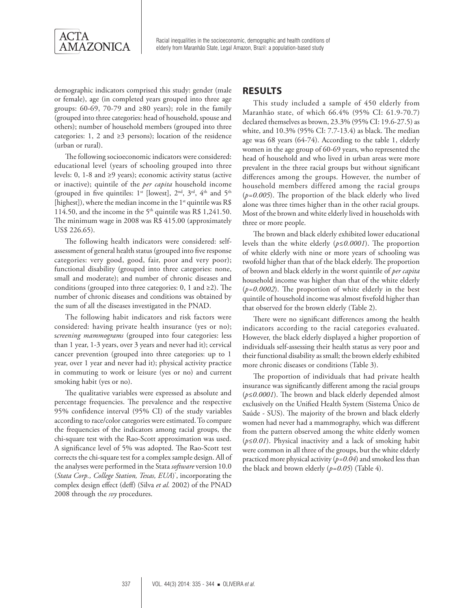

demographic indicators comprised this study: gender (male or female), age (in completed years grouped into three age groups: 60-69, 70-79 and  $\geq 80$  years); role in the family (grouped into three categories: head of household, spouse and others); number of household members (grouped into three categories: 1, 2 and  $\geq$ 3 persons); location of the residence (urban or rural).

The following socioeconomic indicators were considered: educational level (years of schooling grouped into three levels: 0, 1-8 and ≥9 years); economic activity status (active or inactive); quintile of the *per capita* household income (grouped in five quintiles: 1<sup>st</sup> [lowest], 2<sup>nd</sup>, 3<sup>rd</sup>, 4<sup>th</sup> and 5<sup>th</sup> [highest]), where the median income in the  $1<sup>st</sup>$  quintile was R\$ 114.50, and the income in the 5<sup>th</sup> quintile was R\$ 1,241.50. The minimum wage in 2008 was R\$ 415.00 (approximately US\$ 226.65).

The following health indicators were considered: selfassessment of general health status (grouped into five response categories: very good, good, fair, poor and very poor); functional disability (grouped into three categories: none, small and moderate); and number of chronic diseases and conditions (grouped into three categories: 0, 1 and  $\geq$ 2). The number of chronic diseases and conditions was obtained by the sum of all the diseases investigated in the PNAD.

The following habit indicators and risk factors were considered: having private health insurance (yes or no); s*creening mammograms* (grouped into four categories: less than 1 year, 1-3 years, over 3 years and never had it); cervical cancer prevention (grouped into three categories: up to 1 year, over 1 year and never had it); physical activity practice in commuting to work or leisure (yes or no) and current smoking habit (yes or no).

The qualitative variables were expressed as absolute and percentage frequencies. The prevalence and the respective 95% confidence interval (95% CI) of the study variables according to race/color categories were estimated. To compare the frequencies of the indicators among racial groups, the chi-square test with the Rao-Scott approximation was used. A significance level of 5% was adopted. The Rao-Scott test corrects the chi-square test for a complex sample design. All of the analyses were performed in the Stata *software* version 10.0 (Stata Corp., College Station, Texas, EUA)<sup>\*</sup>, incorporating the complex design effect (deff) (Silva *et al.* 2002) of the PNAD 2008 through the *svy* procedures.

#### **RESULTS**

This study included a sample of 450 elderly from Maranhão state, of which 66.4% (95% CI: 61.9-70.7) declared themselves as brown, 23.3% (95% CI: 19.6-27.5) as white, and 10.3% (95% CI: 7.7-13.4) as black. The median age was 68 years (64-74). According to the table 1, elderly women in the age group of 60-69 years, who represented the head of household and who lived in urban areas were more prevalent in the three racial groups but without significant differences among the groups. However, the number of household members differed among the racial groups (*p=0.005*). The proportion of the black elderly who lived alone was three times higher than in the other racial groups. Most of the brown and white elderly lived in households with three or more people.

The brown and black elderly exhibited lower educational levels than the white elderly (*p≤0.0001*). The proportion of white elderly with nine or more years of schooling was twofold higher than that of the black elderly. The proportion of brown and black elderly in the worst quintile of *per capita* household income was higher than that of the white elderly (*p=0.0002*). The proportion of white elderly in the best quintile of household income was almost fivefold higher than that observed for the brown elderly (Table 2).

There were no significant differences among the health indicators according to the racial categories evaluated. However, the black elderly displayed a higher proportion of individuals self-assessing their health status as very poor and their functional disability as small; the brown elderly exhibited more chronic diseases or conditions (Table 3).

The proportion of individuals that had private health insurance was significantly different among the racial groups (*p≤0.0001*). The brown and black elderly depended almost exclusively on the Unified Health System (Sistema Único de Saúde - SUS). The majority of the brown and black elderly women had never had a mammography, which was different from the pattern observed among the white elderly women (*p≤0.01*). Physical inactivity and a lack of smoking habit were common in all three of the groups, but the white elderly practiced more physical activity (*p=0.04*) and smoked less than the black and brown elderly (*p=0.05*) (Table 4).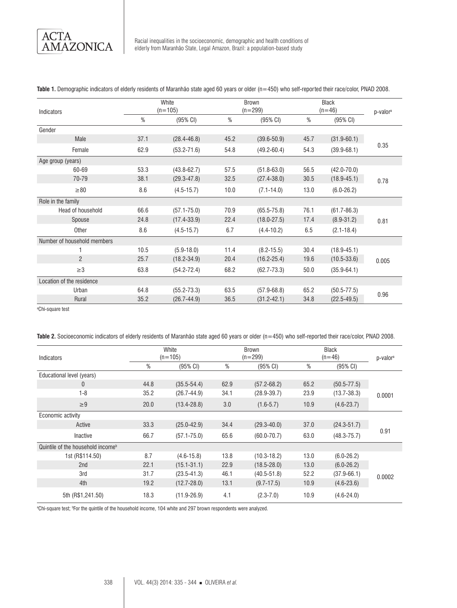| Indicators                  |      | White<br>$(n=105)$ |      | Brown<br>$(n=299)$ |      | <b>Black</b><br>$(n=46)$ | p-valor <sup>a</sup> |
|-----------------------------|------|--------------------|------|--------------------|------|--------------------------|----------------------|
|                             | %    | (95% CI)           | %    | $(95% \text{ Cl})$ | %    | $(95% \text{ Cl})$       |                      |
| Gender                      |      |                    |      |                    |      |                          |                      |
| Male                        | 37.1 | $(28.4 - 46.8)$    | 45.2 | $(39.6 - 50.9)$    | 45.7 | $(31.9 - 60.1)$          |                      |
| Female                      | 62.9 | $(53.2 - 71.6)$    | 54.8 | $(49.2 - 60.4)$    | 54.3 | $(39.9 - 68.1)$          | 0.35                 |
| Age group (years)           |      |                    |      |                    |      |                          |                      |
| 60-69                       | 53.3 | $(43.8 - 62.7)$    | 57.5 | $(51.8 - 63.0)$    | 56.5 | $(42.0 - 70.0)$          |                      |
| 70-79                       | 38.1 | $(29.3 - 47.8)$    | 32.5 | $(27.4 - 38.0)$    | 30.5 | $(18.9 - 45.1)$          | 0.78                 |
| $\geq 80$                   | 8.6  | $(4.5 - 15.7)$     | 10.0 | $(7.1 - 14.0)$     | 13.0 | $(6.0 - 26.2)$           |                      |
| Role in the family          |      |                    |      |                    |      |                          |                      |
| Head of household           | 66.6 | $(57.1 - 75.0)$    | 70.9 | $(65.5 - 75.8)$    | 76.1 | $(61.7 - 86.3)$          |                      |
| Spouse                      | 24.8 | $(17.4 - 33.9)$    | 22.4 | $(18.0 - 27.5)$    | 17.4 | $(8.9 - 31.2)$           | 0.81                 |
| Other                       | 8.6  | $(4.5 - 15.7)$     | 6.7  | $(4.4 - 10.2)$     | 6.5  | $(2.1 - 18.4)$           |                      |
| Number of household members |      |                    |      |                    |      |                          |                      |
|                             | 10.5 | $(5.9 - 18.0)$     | 11.4 | $(8.2 - 15.5)$     | 30.4 | $(18.9 - 45.1)$          |                      |
| $\overline{2}$              | 25.7 | $(18.2 - 34.9)$    | 20.4 | $(16.2 - 25.4)$    | 19.6 | $(10.5 - 33.6)$          | 0.005                |
| $\geq$ 3                    | 63.8 | $(54.2 - 72.4)$    | 68.2 | $(62.7 - 73.3)$    | 50.0 | $(35.9 - 64.1)$          |                      |
| Location of the residence   |      |                    |      |                    |      |                          |                      |
| Urban                       | 64.8 | $(55.2 - 73.3)$    | 63.5 | $(57.9 - 68.8)$    | 65.2 | $(50.5 - 77.5)$          | 0.96                 |
| Rural                       | 35.2 | $(26.7 - 44.9)$    | 36.5 | $(31.2 - 42.1)$    | 34.8 | $(22.5 - 49.5)$          |                      |

Table 1. Demographic indicators of elderly residents of Maranhão state aged 60 years or older (n=450) who self-reported their race/color, PNAD 2008.

a Chi-square test

Table 2. Socioeconomic indicators of elderly residents of Maranhão state aged 60 years or older (n=450) who self-reported their race/color, PNAD 2008.

| <b>Indicators</b>                             | White<br>$(n=105)$ |                 | Brown<br>$(n=299)$ |                 | <b>Black</b><br>$(n=46)$ |                    | p-valor <sup>a</sup> |
|-----------------------------------------------|--------------------|-----------------|--------------------|-----------------|--------------------------|--------------------|----------------------|
|                                               | %                  | (95% CI)        | %                  | (95% CI)        | %                        | $(95% \text{ Cl})$ |                      |
| Educational level (years)                     |                    |                 |                    |                 |                          |                    |                      |
| $\mathbf{0}$                                  | 44.8               | $(35.5 - 54.4)$ | 62.9               | $(57.2 - 68.2)$ | 65.2                     | $(50.5 - 77.5)$    |                      |
| $1 - 8$                                       | 35.2               | $(26.7 - 44.9)$ | 34.1               | $(28.9 - 39.7)$ | 23.9                     | $(13.7 - 38.3)$    | 0.0001               |
| $\geq 9$                                      | 20.0               | $(13.4 - 28.8)$ | 3.0                | $(1.6 - 5.7)$   | 10.9                     | $(4.6 - 23.7)$     |                      |
| Economic activity                             |                    |                 |                    |                 |                          |                    |                      |
| Active                                        | 33.3               | $(25.0 - 42.9)$ | 34.4               | $(29.3 - 40.0)$ | 37.0                     | $(24.3 - 51.7)$    |                      |
| Inactive                                      | 66.7               | $(57.1 - 75.0)$ | 65.6               | $(60.0 - 70.7)$ | 63.0                     | $(48.3 - 75.7)$    | 0.91                 |
| Quintile of the household income <sup>b</sup> |                    |                 |                    |                 |                          |                    |                      |
| 1st (R\$114.50)                               | 8.7                | $(4.6 - 15.8)$  | 13.8               | $(10.3 - 18.2)$ | 13.0                     | $(6.0 - 26.2)$     |                      |
| 2 <sub>nd</sub>                               | 22.1               | $(15.1 - 31.1)$ | 22.9               | $(18.5 - 28.0)$ | 13.0                     | $(6.0 - 26.2)$     |                      |
| 3rd                                           | 31.7               | $(23.5 - 41.3)$ | 46.1               | $(40.5 - 51.8)$ | 52.2                     | $(37.9 - 66.1)$    | 0.0002               |
| 4th                                           | 19.2               | $(12.7 - 28.0)$ | 13.1               | $(9.7 - 17.5)$  | 10.9                     | $(4.6 - 23.6)$     |                      |
| 5th (R\$1,241.50)                             | 18.3               | $(11.9 - 26.9)$ | 4.1                | $(2.3 - 7.0)$   | 10.9                     | $(4.6 - 24.0)$     |                      |

a Chi-square test; b For the quintile of the household income, 104 white and 297 brown respondents were analyzed.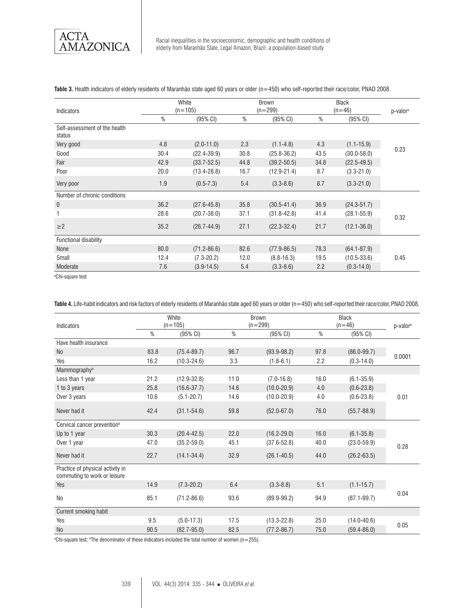|  |  | Table 3. Health indicators of elderly residents of Maranhão state aged 60 years or older (n=450) who self-reported their race/color. PNAD 2008. |
|--|--|-------------------------------------------------------------------------------------------------------------------------------------------------|
|--|--|-------------------------------------------------------------------------------------------------------------------------------------------------|

| Indicators                              | White<br>$(n=105)$ |                    | <b>Brown</b><br>$(n=299)$ |                 | <b>Black</b><br>$(n=46)$ |                    | p-valor <sup>a</sup> |
|-----------------------------------------|--------------------|--------------------|---------------------------|-----------------|--------------------------|--------------------|----------------------|
|                                         | %                  | $(95% \text{ Cl})$ | $\%$                      | (95% CI)        | %                        | $(95% \text{ Cl})$ |                      |
| Self-assessment of the health<br>status |                    |                    |                           |                 |                          |                    |                      |
| Very good                               | 4.8                | $(2.0 - 11.0)$     | 2.3                       | $(1.1-4.8)$     | 4.3                      | $(1.1 - 15.9)$     |                      |
| Good                                    | 30.4               | $(22.4 - 39.9)$    | 30.8                      | $(25.8 - 36.2)$ | 43.5                     | $(30.0 - 58.0)$    | 0.23                 |
| Fair                                    | 42.9               | $(33.7 - 52.5)$    | 44.8                      | $(39.2 - 50.5)$ | 34.8                     | $(22.5 - 49.5)$    |                      |
| Poor                                    | 20.0               | $(13.4 - 28.8)$    | 16.7                      | $(12.9 - 21.4)$ | 8.7                      | $(3.3 - 21.0)$     |                      |
| Very poor                               | 1.9                | $(0.5 - 7.3)$      | 5.4                       | $(3.3 - 8.6)$   | 8.7                      | $(3.3 - 21.0)$     |                      |
| Number of chronic conditions            |                    |                    |                           |                 |                          |                    |                      |
| $\bf{0}$                                | 36.2               | $(27.6 - 45.8)$    | 35.8                      | $(30.5 - 41.4)$ | 36.9                     | $(24.3 - 51.7)$    |                      |
|                                         | 28.6               | $(20.7 - 38.0)$    | 37.1                      | $(31.8 - 42.8)$ | 41.4                     | $(28.1 - 55.9)$    | 0.32                 |
| $\geq$ 2                                | 35.2               | $(26.7 - 44.9)$    | 27.1                      | $(22.3 - 32.4)$ | 21.7                     | $(12.1 - 36.0)$    |                      |
| <b>Functional disability</b>            |                    |                    |                           |                 |                          |                    |                      |
| None                                    | 80.0               | $(71.2 - 86.6)$    | 82.6                      | $(77.9 - 86.5)$ | 78.3                     | $(64.1 - 87.9)$    |                      |
| Small                                   | 12.4               | $(7.3 - 20.2)$     | 12.0                      | $(8.8 - 16.3)$  | 19.5                     | $(10.5 - 33.6)$    | 0.45                 |
| Moderate                                | 7.6                | $(3.9 - 14.5)$     | 5.4                       | $(3.3 - 8.6)$   | 2.2                      | $(0.3 - 14.0)$     |                      |

a Chi-square test

**Table 4.** Life-habit indicators and risk factors of elderly residents of Maranhão state aged 60 years or older (n=450) who self-reported their race/color, PNAD 2008.

| Indicators                                                       | White<br>$(n=105)$ |                 |      | <b>Brown</b><br>$(n=299)$ |      | <b>Black</b><br>$(n=46)$ |        |
|------------------------------------------------------------------|--------------------|-----------------|------|---------------------------|------|--------------------------|--------|
|                                                                  | %                  | (95% CI)        | %    | (95% CI)                  | %    | (95% CI)                 |        |
| Have health insurance                                            |                    |                 |      |                           |      |                          |        |
| <b>No</b>                                                        | 83.8               | $(75.4 - 89.7)$ | 96.7 | $(93.9 - 98.2)$           | 97.8 | $(86.0 - 99.7)$          | 0.0001 |
| Yes                                                              | 16.2               | $(10.3 - 24.6)$ | 3.3  | $(1.8 - 6.1)$             | 2.2  | $(0.3 - 14.0)$           |        |
| Mammographyb                                                     |                    |                 |      |                           |      |                          |        |
| Less than 1 year                                                 | 21.2               | $(12.9 - 32.8)$ | 11.0 | $(7.0 - 16.8)$            | 16.0 | $(6.1 - 35.9)$           |        |
| 1 to 3 years                                                     | 25.8               | $(16.6 - 37.7)$ | 14.6 | $(10.0 - 20.9)$           | 4.0  | $(0.6 - 23.8)$           |        |
| Over 3 years                                                     | 10.6               | $(5.1 - 20.7)$  | 14.6 | $(10.0 - 20.9)$           | 4.0  | $(0.6 - 23.8)$           | 0.01   |
| Never had it                                                     | 42.4               | $(31.1 - 54.6)$ | 59.8 | $(52.0 - 67.0)$           | 76.0 | $(55.7 - 88.9)$          |        |
| Cervical cancer prevention <sup>b</sup>                          |                    |                 |      |                           |      |                          |        |
| Up to 1 year                                                     | 30.3               | $(20.4 - 42.5)$ | 22.0 | $(16.2 - 29.0)$           | 16.0 | $(6.1 - 35.8)$           |        |
| Over 1 year                                                      | 47.0               | $(35.2 - 59.0)$ | 45.1 | $(37.6 - 52.8)$           | 40.0 | $(23.0 - 59.9)$          | 0.28   |
| Never had it                                                     | 22.7               | $(14.1 - 34.4)$ | 32.9 | $(26.1 - 40.5)$           | 44.0 | $(26.2 - 63.5)$          |        |
| Practice of physical activity in<br>commuting to work or leisure |                    |                 |      |                           |      |                          |        |
| Yes                                                              | 14.9               | $(7.3 - 20.2)$  | 6.4  | $(3.3 - 8.8)$             | 5.1  | $(1.1 - 15.7)$           |        |
| <b>No</b>                                                        | 85.1               | $(71.2 - 86.6)$ | 93.6 | $(89.9 - 99.2)$           | 94.9 | $(87.1 - 99.7)$          | 0.04   |
| Current smoking habit                                            |                    |                 |      |                           |      |                          |        |
| Yes                                                              | 9.5                | $(5.0 - 17.3)$  | 17.5 | $(13.3 - 22.8)$           | 25.0 | $(14.0 - 40.6)$          | 0.05   |
| <b>No</b>                                                        | 90.5               | $(82.7 - 95.0)$ | 82.5 | $(77.2 - 86.7)$           | 75.0 | $(59.4 - 86.0)$          |        |

 $^{\text{a}}$ Chi-square test;  $^{\text{b}}$ The denominator of these indicators included the total number of women (n=255).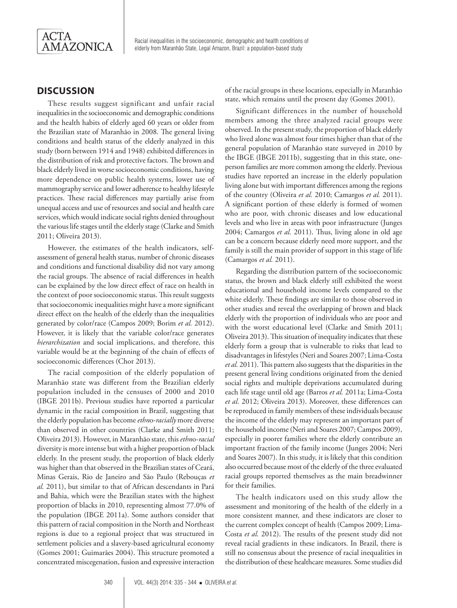

### **DISCUSSION**

These results suggest significant and unfair racial inequalities in the socioeconomic and demographic conditions and the health habits of elderly aged 60 years or older from the Brazilian state of Maranhão in 2008. The general living conditions and health status of the elderly analyzed in this study (born between 1914 and 1948) exhibited differences in the distribution of risk and protective factors. The brown and black elderly lived in worse socioeconomic conditions, having more dependence on public health systems, lower use of mammography service and lower adherence to healthy lifestyle practices. These racial differences may partially arise from unequal access and use of resources and social and health care services, which would indicate social rights denied throughout the various life stages until the elderly stage (Clarke and Smith 2011; Oliveira 2013).

However, the estimates of the health indicators, selfassessment of general health status, number of chronic diseases and conditions and functional disability did not vary among the racial groups. The absence of racial differences in health can be explained by the low direct effect of race on health in the context of poor socioeconomic status. This result suggests that socioeconomic inequalities might have a more significant direct effect on the health of the elderly than the inequalities generated by color/race (Campos 2009; Borim *et al.* 2012). However, it is likely that the variable color/race generates *hierarchization* and social implications, and therefore, this variable would be at the beginning of the chain of effects of socioeconomic differences (Chor 2013).

The racial composition of the elderly population of Maranhão state was different from the Brazilian elderly population included in the censuses of 2000 and 2010 (IBGE 2011b). Previous studies have reported a particular dynamic in the racial composition in Brazil, suggesting that the elderly population has become *ethn*o-*racially* more diverse than observed in other countries (Clarke and Smith 2011; Oliveira 2013). However, in Maranhão state, this *ethn*o-*racial* diversity is more intense but with a higher proportion of black elderly. In the present study, the proportion of black elderly was higher than that observed in the Brazilian states of Ceará, Minas Gerais, Rio de Janeiro and São Paulo (Rebouças *et al.* 2011), but similar to that of African descendants in Pará and Bahia, which were the Brazilian states with the highest proportion of blacks in 2010, representing almost 77.0% of the population (IBGE 2011a). Some authors consider that this pattern of racial composition in the North and Northeast regions is due to a regional project that was structured in settlement policies and a slavery-based agricultural economy (Gomes 2001; Guimarães 2004). This structure promoted a concentrated miscegenation, fusion and expressive interaction

of the racial groups in these locations, especially in Maranhão state, which remains until the present day (Gomes 2001).

Significant differences in the number of household members among the three analyzed racial groups were observed. In the present study, the proportion of black elderly who lived alone was almost four times higher than that of the general population of Maranhão state surveyed in 2010 by the IBGE (IBGE 2011b), suggesting that in this state, oneperson families are more common among the elderly. Previous studies have reported an increase in the elderly population living alone but with important differences among the regions of the country (Oliveira *et al.* 2010; Camargos *et al.* 2011). A significant portion of these elderly is formed of women who are poor, with chronic diseases and low educational levels and who live in areas with poor infrastructure (Junges 2004; Camargos *et al.* 2011). Thus, living alone in old age can be a concern because elderly need more support, and the family is still the main provider of support in this stage of life (Camargos *et al.* 2011).

Regarding the distribution pattern of the socioeconomic status, the brown and black elderly still exhibited the worst educational and household income levels compared to the white elderly. These findings are similar to those observed in other studies and reveal the overlapping of brown and black elderly with the proportion of individuals who are poor and with the worst educational level (Clarke and Smith 2011; Oliveira 2013). This situation of inequality indicates that these elderly form a group that is vulnerable to risks that lead to disadvantages in lifestyles (Neri and Soares 2007; Lima-Costa *et al.* 2011). This pattern also suggests that the disparities in the present general living conditions originated from the denied social rights and multiple deprivations accumulated during each life stage until old age (Barros *et al.* 2011a; Lima-Costa *et al.* 2012; Oliveira 2013). Moreover, these differences can be reproduced in family members of these individuals because the income of the elderly may represent an important part of the household income (Neri and Soares 2007; Campos 2009), especially in poorer families where the elderly contribute an important fraction of the family income (Junges 2004; Neri and Soares 2007). In this study, it is likely that this condition also occurred because most of the elderly of the three evaluated racial groups reported themselves as the main breadwinner for their families.

The health indicators used on this study allow the assessment and monitoring of the health of the elderly in a more consistent manner, and these indicators are closer to the current complex concept of health (Campos 2009; Lima-Costa *et al.* 2012). The results of the present study did not reveal racial gradients in these indicators. In Brazil, there is still no consensus about the presence of racial inequalities in the distribution of these healthcare measures. Some studies did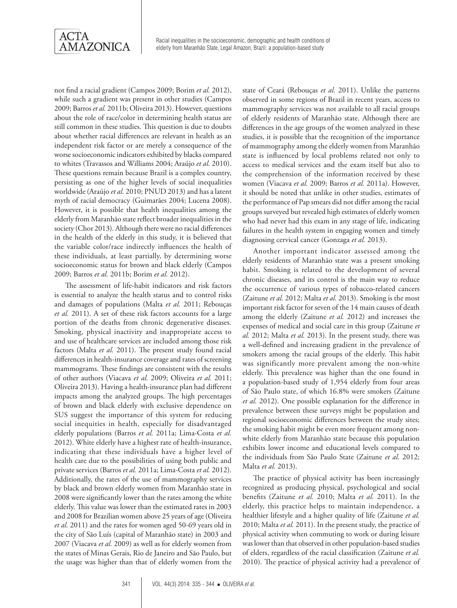

not find a racial gradient (Campos 2009; Borim *et al.* 2012), while such a gradient was present in other studies (Campos 2009; Barros *et al.* 2011b; Oliveira 2013). However, questions about the role of race/color in determining health status are still common in these studies. This question is due to doubts about whether racial differences are relevant in health as an independent risk factor or are merely a consequence of the worse socioeconomic indicators exhibited by blacks compared to whites (Travassos and Williams 2004; Araújo *et al*. 2010). These questions remain because Brazil is a complex country, persisting as one of the higher levels of social inequalities worldwide (Araújo *et al.* 2010; PNUD 2013) and has a latent myth of racial democracy (Guimarães 2004; Lucena 2008). However, it is possible that health inequalities among the elderly from Maranhão state reflect broader inequalities in the society (Chor 2013). Although there were no racial differences in the health of the elderly in this study, it is believed that the variable color/race indirectly influences the health of these individuals, at least partially, by determining worse socioeconomic status for brown and black elderly (Campos 2009; Barros *et al.* 2011b; Borim *et al.* 2012).

The assessment of life-habit indicators and risk factors is essential to analyze the health status and to control risks and damages of populations (Malta *et al.* 2011; Rebouças *et al.* 2011). A set of these risk factors accounts for a large portion of the deaths from chronic degenerative diseases. Smoking, physical inactivity and inappropriate access to and use of healthcare services are included among those risk factors (Malta *et al.* 2011). The present study found racial differences in health-insurance coverage and rates of screening mammograms. These findings are consistent with the results of other authors (Viacava *et al.* 2009; Oliveira *et al.* 2011; Oliveira 2013). Having a health-insurance plan had different impacts among the analyzed groups. The high percentages of brown and black elderly with exclusive dependence on SUS suggest the importance of this system for reducing social inequities in health, especially for disadvantaged elderly populations (Barros *et al.* 2011a; Lima-Costa *et al.* 2012). White elderly have a highest rate of health-insurance, indicating that these individuals have a higher level of health care due to the possibilities of using both public and private services (Barros *et al.* 2011a; Lima-Costa *et al.* 2012). Additionally, the rates of the use of mammography services by black and brown elderly women from Maranhão state in 2008 were significantly lower than the rates among the white elderly. This value was lower than the estimated rates in 2003 and 2008 for Brazilian women above 25 years of age (Oliveira *et al.* 2011) and the rates for women aged 50-69 years old in the city of São Luís (capital of Maranhão state) in 2003 and 2007 (Viacava *et al.* 2009) as well as for elderly women from the states of Minas Gerais, Rio de Janeiro and São Paulo, but the usage was higher than that of elderly women from the

state of Ceará (Rebouças *et al.* 2011). Unlike the patterns observed in some regions of Brazil in recent years, access to mammography services was not available to all racial groups of elderly residents of Maranhão state. Although there are differences in the age groups of the women analyzed in these studies, it is possible that the recognition of the importance of mammography among the elderly women from Maranhão state is influenced by local problems related not only to access to medical services and the exam itself but also to the comprehension of the information received by these women (Viacava *et al.* 2009; Barros *et al.* 2011a). However, it should be noted that unlike in other studies, estimates of the performance of Pap smears did not differ among the racial groups surveyed but revealed high estimates of elderly women who had never had this exam in any stage of life, indicating failures in the health system in engaging women and timely diagnosing cervical cancer (Gonzaga *et al.* 2013).

Another important indicator assessed among the elderly residents of Maranhão state was a present smoking habit. Smoking is related to the development of several chronic diseases, and its control is the main way to reduce the occurrence of various types of tobacco-related cancers (Zaitune *et al.* 2012; Malta *et al.* 2013). Smoking is the most important risk factor for seven of the 14 main causes of death among the elderly (Zaitune *et al.* 2012) and increases the expenses of medical and social care in this group (Zaitune *et al.* 2012; Malta *et al.* 2013). In the present study, there was a well-defined and increasing gradient in the prevalence of smokers among the racial groups of the elderly. This habit was significantly more prevalent among the non-white elderly. This prevalence was higher than the one found in a population-based study of 1,954 elderly from four areas of São Paulo state, of which 16.8% were smokers (Zaitune *et al.* 2012). One possible explanation for the difference in prevalence between these surveys might be population and regional socioeconomic differences between the study sites; the smoking habit might be even more frequent among nonwhite elderly from Maranhão state because this population exhibits lower income and educational levels compared to the individuals from São Paulo State (Zaitune *et al.* 2012; Malta *et al.* 2013).

The practice of physical activity has been increasingly recognized as producing physical, psychological and social benefits (Zaitune *et al.* 2010; Malta *et al.* 2011). In the elderly, this practice helps to maintain independence, a healthier lifestyle and a higher quality of life (Zaitune *et al.* 2010; Malta *et al.* 2011). In the present study, the practice of physical activity when commuting to work or during leisure was lower than that observed in other population-based studies of elders, regardless of the racial classification (Zaitune *et al.* 2010). The practice of physical activity had a prevalence of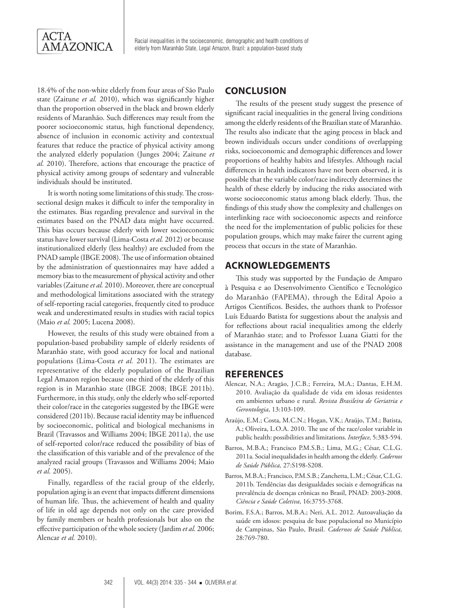

18.4% of the non-white elderly from four areas of São Paulo state (Zaitune *et al.* 2010), which was significantly higher than the proportion observed in the black and brown elderly residents of Maranhão. Such differences may result from the poorer socioeconomic status, high functional dependency, absence of inclusion in economic activity and contextual features that reduce the practice of physical activity among the analyzed elderly population (Junges 2004; Zaitune *et al.* 2010). Therefore, actions that encourage the practice of physical activity among groups of sedentary and vulnerable individuals should be instituted.

It is worth noting some limitations of this study. The crosssectional design makes it difficult to infer the temporality in the estimates. Bias regarding prevalence and survival in the estimates based on the PNAD data might have occurred. This bias occurs because elderly with lower socioeconomic status have lower survival (Lima-Costa *et al.* 2012) or because institutionalized elderly (less healthy) are excluded from the PNAD sample (IBGE 2008). The use of information obtained by the administration of questionnaires may have added a memory bias to the measurement of physical activity and other variables (Zaitune *et al.* 2010). Moreover, there are conceptual and methodological limitations associated with the strategy of self-reporting racial categories, frequently cited to produce weak and underestimated results in studies with racial topics (Maio *et al.* 2005; Lucena 2008).

However, the results of this study were obtained from a population-based probability sample of elderly residents of Maranhão state, with good accuracy for local and national populations (Lima-Costa *et al.* 2011). The estimates are representative of the elderly population of the Brazilian Legal Amazon region because one third of the elderly of this region is in Maranhão state (IBGE 2008; IBGE 2011b). Furthermore, in this study, only the elderly who self-reported their color/race in the categories suggested by the IBGE were considered (2011b). Because racial identity may be influenced by socioeconomic, political and biological mechanisms in Brazil (Travassos and Williams 2004; IBGE 2011a), the use of self-reported color/race reduced the possibility of bias of the classification of this variable and of the prevalence of the analyzed racial groups (Travassos and Williams 2004; Maio *et al.* 2005).

Finally, regardless of the racial group of the elderly, population aging is an event that impacts different dimensions of human life. Thus, the achievement of health and quality of life in old age depends not only on the care provided by family members or health professionals but also on the effective participation of the whole society (Jardim *et al.* 2006; Alencar *et al.* 2010).

#### **CONCLUSION**

The results of the present study suggest the presence of significant racial inequalities in the general living conditions among the elderly residents of the Brazilian state of Maranhão. The results also indicate that the aging process in black and brown individuals occurs under conditions of overlapping risks, socioeconomic and demographic differences and lower proportions of healthy habits and lifestyles. Although racial differences in health indicators have not been observed, it is possible that the variable color/race indirectly determines the health of these elderly by inducing the risks associated with worse socioeconomic status among black elderly. Thus, the findings of this study show the complexity and challenges on interlinking race with socioeconomic aspects and reinforce the need for the implementation of public policies for these population groups, which may make fairer the current aging process that occurs in the state of Maranhão.

#### **ACKNOWLEDGEMENTS**

This study was supported by the Fundação de Amparo à Pesquisa e ao Desenvolvimento Científico e Tecnológico do Maranhão (FAPEMA), through the Edital Apoio a Artigos Científicos. Besides, the authors thank to Professor Luís Eduardo Batista for suggestions about the analysis and for reflections about racial inequalities among the elderly of Maranhão state; and to Professor Luana Giatti for the assistance in the management and use of the PNAD 2008 database.

#### **REFERENCES**

- Alencar, N.A.; Aragão, J.C.B.; Ferreira, M.A.; Dantas, E.H.M. 2010. Avaliação da qualidade de vida em idosas residentes em ambientes urbano e rural. *Revista Brasileira de Geriatria e Gerontologia*, 13:103-109.
- Araújo, E.M.; Costa, M.C.N.; Hogan, V.K.; Araújo, T.M.; Batista, A.; Oliveira, L.O.A. 2010. The use of the race/color variable in public health: possibilities and limitations. *Interface,* 5:383-594.
- Barros, M.B.A.; Francisco P.M.S.B.; Lima, M.G.; César, C.L.G. 2011a. Social inequalidades in health among the elderly. *Cadernos de Saúde Pública,* 27:S198-S208.
- Barros, M.B.A.; Francisco, P.M.S.B.; Zanchetta, L.M.; César, C.L.G. 2011b. Tendências das desigualdades sociais e demográficas na prevalência de doenças crônicas no Brasil, PNAD: 2003-2008. *Ciência e Saúde Coletiva*, 16:3755-3768.
- Borim, F.S.A.; Barros, M.B.A.; Neri, A.L. 2012. Autoavaliação da saúde em idosos: pesquisa de base populacional no Município de Campinas, São Paulo, Brasil. *Cadernos de Saúde Pública,* 28:769-780.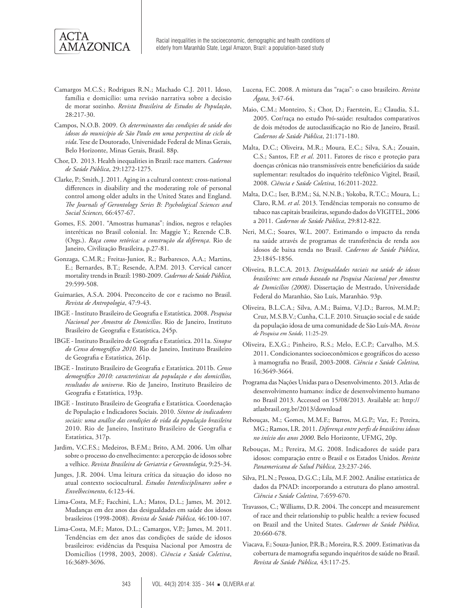

- Camargos M.C.S.; Rodrigues R.N.; Machado C.J. 2011. Idoso, família e domicílio: uma revisão narrativa sobre a decisão de morar sozinho. *Revista Brasileira de Estudos de População*, 28:217-30.
- Campos, N.O.B. 2009. *Os determinantes das condições de saúde dos idosos do município de São Paulo em uma perspectiva de ciclo de vida*. Tese de Doutorado, Universidade Federal de Minas Gerais, Belo Horizonte, Minas Gerais, Brasil. 88p.
- Chor, D. 2013. Health inequalities in Brazil: race matters. *Cadernos de Saúde Pública*, 29:1272-1275.
- Clarke, P.; Smith, J. 2011. Aging in a cultural context: cross-national differences in disability and the moderating role of personal control among older adults in the United States and England. *The Journals of Gerontology Series B: Psychological Sciences and Social Sciences,* 66:457-67.
- Gomes, F.S. 2001. "Amostras humanas": índios, negros e relações interéticas no Brasil colonial. In: Maggie Y.; Rezende C.B. (Orgs.). *Raça como retórica: a construção da diferença*. Rio de Janeiro, Civilização Brasileira, p.27-81.
- Gonzaga, C.M.R.; Freitas-Junior, R.; Barbaresco, A.A.; Martins, E.; Bernardes, B.T.; Resende, A.P.M. 2013. Cervical cancer mortality trends in Brazil: 1980-2009. *Cadernos de Saúde Pública,* 29:599-508.
- Guimarães, A.S.A. 2004. Preconceito de cor e racismo no Brasil. *Revista de Antropologia*, 47:9-43.
- IBGE Instituto Brasileiro de Geografia e Estatística. 2008. *Pesquisa Nacional por Amostra de Domicílios*. Rio de Janeiro, Instituto Brasileiro de Geografia e Estatística, 245p.
- IBGE Instituto Brasileiro de Geografia e Estatística. 2011a. *Sinopse do Censo demográfico 2010.* Rio de Janeiro, Instituto Brasileiro de Geografia e Estatística, 261p.
- IBGE Instituto Brasileiro de Geografia e Estatística. 2011b. *Censo demográfico 2010: características da população e dos domicílios, resultados do universo*. Rio de Janeiro, Instituto Brasileiro de Geografia e Estatística, 193p.
- IBGE Instituto Brasileiro de Geografia e Estatística. Coordenação de População e Indicadores Sociais. 2010. *Síntese de indicadores sociais: uma análise das condições de vida da população brasileira* 2010. Rio de Janeiro, Instituto Brasileiro de Geografia e Estatística, 317p.
- Jardim, V.C.F.S.; Medeiros, B.F.M.; Brito, A.M. 2006. Um olhar sobre o processo do envelhecimento: a percepção de idosos sobre a velhice. *Revista Brasileira de Geriatria e Gerontologia*, 9:25-34.
- Junges, J.R. 2004. Uma leitura crítica da situação do idoso no atual contexto sociocultural. *Estudos Interdisciplinares sobre o Envelhecimento*, 6:123-44.
- Lima-Costa, M.F.; Facchini, L.A.; Matos, D.L.; James, M. 2012. Mudanças em dez anos das desigualdades em saúde dos idosos brasileiros (1998-2008). *Revista de Saúde Pública,* 46:100-107.
- Lima-Costa, M.F.; Matos, D.L.; Camargos, V.P.; James, M. 2011. Tendências em dez anos das condições de saúde de idosos brasileiros: evidências da Pesquisa Nacional por Amostra de Domicílios (1998, 2003, 2008). *Ciência e Saúde Coletiva*, 16:3689-3696.
- Lucena, F.C. 2008. A mistura das "raças": o caso brasileiro. *Revista Ágata*, 3:47-64.
- Maio, C.M.; Monteiro, S.; Chor, D.; Faerstein, E.; Claudia, S.L. 2005. Cor/raça no estudo Pró-saúde: resultados comparativos de dois métodos de autoclassificação no Rio de Janeiro, Brasil. *Cadernos de Saúde Pública*, 21:171-180.
- Malta, D.C.; Oliveira, M.R.; Moura, E.C.; Silva, S.A.; Zouain, C.S.; Santos, F.P. *et al*. 2011. Fatores de risco e proteção para doenças crônicas não transmissíveis entre beneficiários da saúde suplementar: resultados do inquérito telefônico Vigitel, Brasil, 2008. *Ciência e Saúde Coletiva*, 16:2011-2022.
- Malta, D.C.; Iser, B.P.M.; Sá, N.N.B.; Yokoba, R.T.C.; Moura, L.; Claro, R.M. *et al*. 2013. Tendências temporais no consumo de tabaco nas capitais brasileiras, segundo dados do VIGITEL, 2006 a 2011. *Cadernos de Saúde Pública*, 29:812-822.
- Neri, M.C.; Soares, W.L. 2007. Estimando o impacto da renda na saúde através de programas de transferência de renda aos idosos de baixa renda no Brasil. *Cadernos de Saúde Pública*, 23:1845-1856.
- Oliveira, B.L.C.A. 2013. *Desigualdades raciais na saúde de idosos brasileiros: um estudo baseado na Pesquisa Nacional por Amostra de Domicílios (2008)*. Dissertação de Mestrado, Universidade Federal do Maranhão, São Luís, Maranhão. 93p.
- Oliveira, B.L.C.A.; Silva, A.M.; Baima, V.J.D.; Barros, M.M.P.; Cruz, M.S.B.V.; Cunha, C.L.F. 2010. Situação social e de saúde da população idosa de uma comunidade de São Luís-MA. *Revista de Pesquisa em Saúde,* 11:25-29*.*
- Oliveira, E.X.G.; Pinheiro, R.S.; Melo, E.C.P.; Carvalho, M.S*.* 2011. Condicionantes socioeconômicos e geográficos do acesso à mamografia no Brasil, 2003-2008. *Ciência e Saúde Coletiva,* 16:3649-3664.
- Programa das Nações Unidas para o Desenvolvimento. 2013. Atlas de desenvolvimento humano: índice de desenvolvimento humano no Brasil 2013. Accessed on 15/08/2013. Available at: http:// atlasbrasil.org.br/2013/download
- Rebouças, M.; Gomes, M.M.F.; Barros, M.G.P.; Vaz, F.; Pereira, MG.; Ramos, LR. 2011. *Diferença entre perfis de brasileiros idosos no início dos anos 2000*. Belo Horizonte, UFMG, 20p.
- Rebouças, M.; Pereira, M.G. 2008. Indicadores de saúde para idosos: comparação entre o Brasil e os Estados Unidos. *Revista Panamericana de Salud Pública,* 23:237-246.
- Silva, P.L.N.; Pessoa, D.G.C.; Lila, M.F. 2002. Análise estatística de dados da PNAD: incorporando a estrutura do plano amostral. *Ciência e Saúde Coletiva,* 7:659-670.
- Travassos, C.; Williams, D.R. 2004. The concept and measurement of race and their relationship to public health: a review focused on Brazil and the United States. *Cadernos de Saúde Pública,* 20:660-678.
- Viacava, F.; Souza-Junior, P.R.B.; Moreira, R.S*.* 2009. Estimativas da cobertura de mamografia segundo inquéritos de saúde no Brasil. *Revista de Saúde Pública,* 43:117-25.